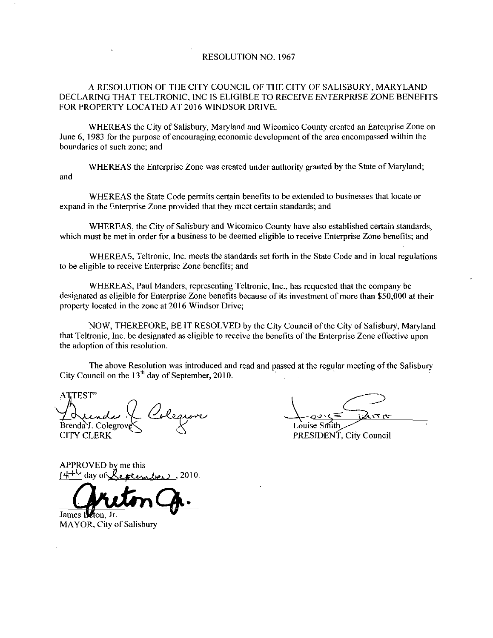#### RESOLUTION NO. 1967

#### A RESOLUTION OF THE CITY COUNCIL OF THE CITY OF SALISBURY MARYLAND DECLARING THAT TELTRONIC, INC IS ELIGIBLE TO RECEIVE ENTERPRISE ZONE BENEFITS FOR PROPERTY LOCATED AT 2016 WINDSOR DRIVE.

WHEREAS the City of Salisbury, Maryland and Wicomico County created an Enterprise Zone on June 6, 1983 for the purpose of encouraging economic development of the area encompassed within the boundaries of such zone: and

and WHEREAS the Enterprise Zone was created under authority granted by the State of Maryland;

WHEREAS the State Code permits certain benefits to be extended to businesses that locate or expand in the Enterprise Zone provided that they meet certain standards; and

WHEREAS, the City of Salisbury and Wicomico County have also established certain standards, which must be met in order for a business to be deemed eligible to receive Enterprise Zone benefits; and

WHEREAS, Teltronic, Inc. meets the standards set forth in the State Code and in local regulations to be eligible to receive Enterprise Zone benefits; and

WHEREAS, Paul Manders, representing Teltronic, Inc., has requested that the company be designated as eligible for Enterprise Zone benefits because of its investment of more than \$50,000 at their property located in the zone at 2016 Windsor Drive

NOW, THEREFORE, BE IT RESOLVED by the City Council of the City of Salisbury, Maryland that Teltronic Inc be designated as eligible to receive the benefits ofthe Enterprise Zone effective upon the adoption of this resolution.

The above Resolution was introduced and read and passed at the regular meeting of the Salisbury City Council on the  $13<sup>th</sup>$  day of September, 2010.

WHERE<br>
designated as eli<br>
property located<br>
NOW, T<br>
that Teltronic, In<br>
the adoption of t<br>
The abo<br>
City Council on<br>
ATTEST<br>
ALL Renday. Colege<br>
Brenday. Colege<br>
CITY CLERK Brenda J. Colegrove Zone provided in<br>City of Salisbury<br>der for a business<br>ltronic, Inc. meets<br>Enterprise Zone be<br>ul Manders, represe<br>Finerprise Zone<br>one at 2016 Wind<br>iORE, BE IT RES<br>signated as eligiblution.<br>lution was introdu<br>day of Septembe CITY CLERK  $\frac{7 \text{ N } \text{Coker}}{\text{Brenda's. Colegrove}}$ <br>Brenday. Colegrove CITY CLERK<br>CITY CLERK<br> $\frac{1446}{1440}$  day of <u>Leptembers</u>, 2010.

 $\bigcup_{\tau:\tau_{1} \star \tau_{2}}$ Louise Smith

PRESIDENT, City Council

APPROVED by me this



James Infon. Jr. MAYOR, City of Salisbury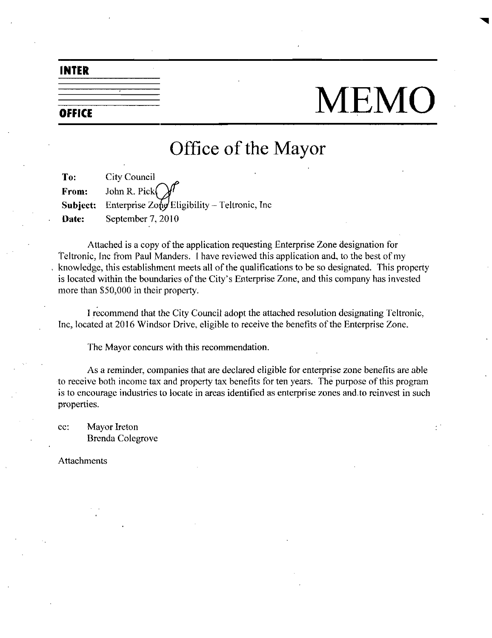### INTER

# OFFICE MEMO

### Office of the Mayor

To: City Council From: John R. Pick **Subject:** Enterprise  $Zofg$  Eligibility – Teltronic, Inc. Date: September 7, 2010

Attached is a copy of the application requesting Enterprise Zone designation for Teltronic, Inc from Paul Manders. I have reviewed this application and, to the best of my<br>knowledge, this establishment meets all of the qualifications to be so designated. This proper<br>is located within the boundaries of t knowledge, this establishment meets all of the qualifications to be so designated. This property is located within the boundaries of the City's Enterprise Zone, and this company has invested more than \$50,000 in their property.

Irecommend that the City Council adopt the attached resolution designating Teltronic Inc, located at 2016 Windsor Drive, eligible to receive the benefits of the Enterprise Zone.

The Mayor concurs with this recommendation

As a reminder, companies that are declared eligible for enterprise zone benefits are able to receive both income tax and property tax benefits for ten years. The purpose of this program is to encourage industries to locate in areas identified as enterprise zones and to reinvest in such properties

cc: Mayor Ireton Brenda Colegrove

Attachments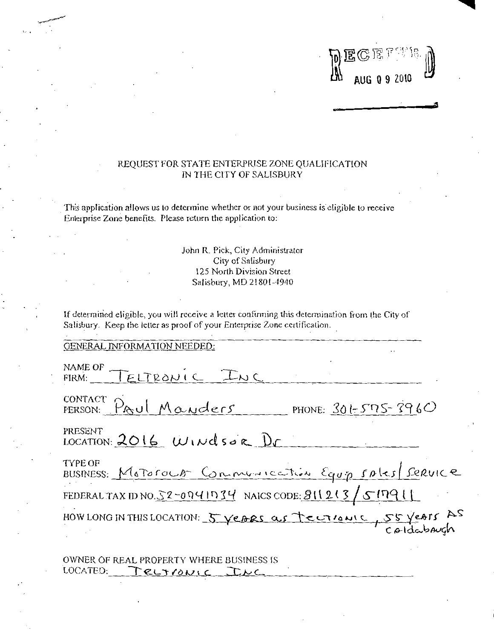#### REQUEST FOR STATE ENTERPRISE ZONE QUALIFICATION IN THE CITY OF SALISBURY

**E** GETTED

 $\mathbf{F}$  ,  $\mathbf{F}$  ,  $\mathbf{F}$  ,  $\mathbf{F}$ 

This application allows us to determine whether or not your business is eligible to receive Enterprise Zone benefits. Please return the application to:

#### John R. Pick, City Administrator City of Salisbury <sup>125</sup> North Division Street Salisbury, MD 21801-4940

## Salisbury. Keep the letter as proof of yo<br>GENERAL INFORMATION NEEDED

| 125 North Division Street                                                                        |
|--------------------------------------------------------------------------------------------------|
| Salisbury, MD 21801-4940                                                                         |
|                                                                                                  |
| If determined eligible, you will receive a letter confirming this determination from the City of |
| Salisbury. Keep the letter as proof of your Enterprise Zone certification.                       |
| <b>GENERAL INFORMATION NEEDED:</b>                                                               |
|                                                                                                  |
| NAME OF TELTRONIC INC                                                                            |
|                                                                                                  |
| CONTACT Proul Mauders PHONE: 301-575-3960                                                        |
|                                                                                                  |
| PRESENT<br>LOCATION: 2016 WINdsor Dr                                                             |
|                                                                                                  |
| <b>TYPE OF</b><br>BUSINESS: Motorock Communication Equip sples Service                           |
| FEDERAL TAX ID NO. $S2$ -0741734 NAICS CODE: $911213 / ST1911$                                   |
| HOW LONG IN THIS LOCATION: 5 years as Tectionic, 55 years AS                                     |
|                                                                                                  |

OWNER OF REAL PROPERTY WHERE BUSINESS IS<br>LOCATED:  $T$ **e**LT  $\omega$ <sub>k</sub>  $\Box$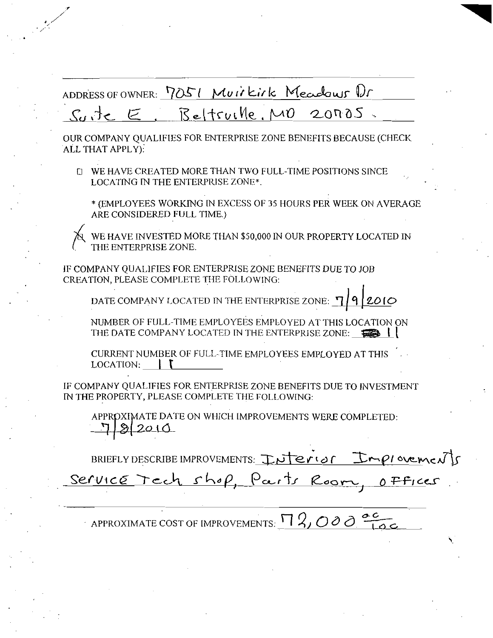ADDRESS OF OWNER: 7051 Muirkirk Meadows Dr

### $C_1$  de  $E$ . Beltruille, MD 20005.

OUR COMPANY OUALIFIES FOR ENTERPRISE ZONE BENEFITS BECAUSE (CHECK ALL THAT APPLY):

**I WE HAVE CREATED MORE THAN TWO FULL-TIME POSITIONS SINCE** LOCATING IN THE ENTERPRISE ZONE\*.

\* (EMPLOYEES WORKING IN EXCESS OF 35 HOURS PER WEEK ON AVERAGE ARE CONSIDERED FULL TIME.)

WE HAVE INVESTED MORE THAN \$50,000 IN OUR PROPERTY LOCATED IN

IF COMPANY QUALIFIES FOR ENTERPRISE ZONE BENEFITS DUE TO JOB CREATION, PLEASE COMPLETE THE FOLLOWING:

 $7|9|20|0$ DATE COMPANY LOCATED IN THE ENTERPRISE ZONE:

NUMBER OF FULL-TIME EMPLOYEES EMPLOYED AT THIS LOCATION ON THE DATE COMPANY LOCATED IN THE ENTERPRISE ZONE:  $\Box$ 

CURRENT NUMBER OF FULL-TIME EMPLOYEES EMPLOYED AT THIS  $LOGATION:$ 

IF COMPANY QUALIFIES FOR ENTERPRISE ZONE BENEFITS DUE TO INVESTMENT IN THE PROPERTY, PLEASE COMPLETE THE FOLLOWING:

APPROXIMATE DATE ON WHICH IMPROVEMENTS WERE COMPLETED:  $2010$ 

BRIEFLY DESCRIBE IMPROVEMENTS: INTEVIOR Implorements

Service Tech shop, Parts Room, Offices

APPROXIMATE COST OF IMPROVEMENTS:  $\frac{\Pi Q, O \partial \partial \frac{ac}{\Pi Q}}$